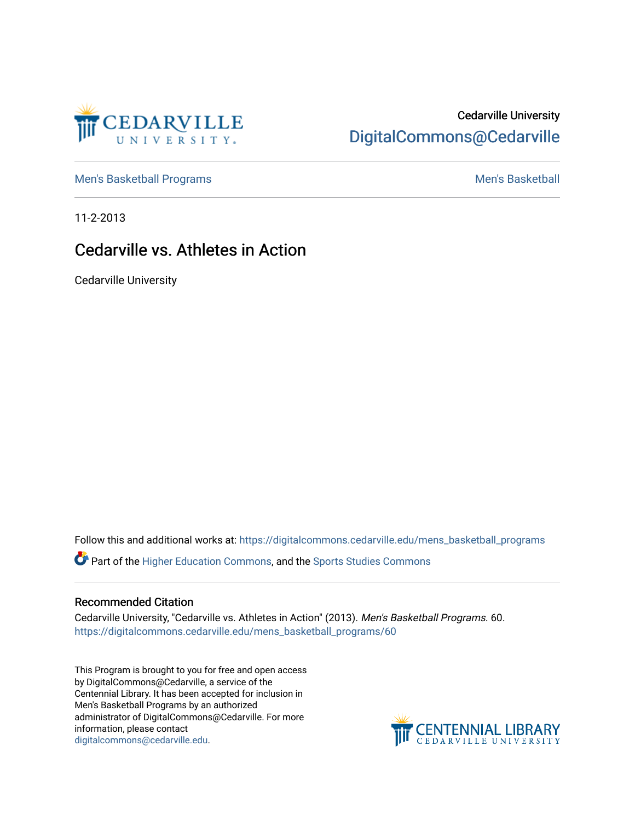

### Cedarville University [DigitalCommons@Cedarville](https://digitalcommons.cedarville.edu/)

[Men's Basketball Programs](https://digitalcommons.cedarville.edu/mens_basketball_programs) and Theorem and Theorem and Theorem and Men's Basketball

11-2-2013

### Cedarville vs. Athletes in Action

Cedarville University

Follow this and additional works at: [https://digitalcommons.cedarville.edu/mens\\_basketball\\_programs](https://digitalcommons.cedarville.edu/mens_basketball_programs?utm_source=digitalcommons.cedarville.edu%2Fmens_basketball_programs%2F60&utm_medium=PDF&utm_campaign=PDFCoverPages) 

Part of the [Higher Education Commons,](http://network.bepress.com/hgg/discipline/1245?utm_source=digitalcommons.cedarville.edu%2Fmens_basketball_programs%2F60&utm_medium=PDF&utm_campaign=PDFCoverPages) and the [Sports Studies Commons](http://network.bepress.com/hgg/discipline/1198?utm_source=digitalcommons.cedarville.edu%2Fmens_basketball_programs%2F60&utm_medium=PDF&utm_campaign=PDFCoverPages) 

#### Recommended Citation

Cedarville University, "Cedarville vs. Athletes in Action" (2013). Men's Basketball Programs. 60. [https://digitalcommons.cedarville.edu/mens\\_basketball\\_programs/60](https://digitalcommons.cedarville.edu/mens_basketball_programs/60?utm_source=digitalcommons.cedarville.edu%2Fmens_basketball_programs%2F60&utm_medium=PDF&utm_campaign=PDFCoverPages)

This Program is brought to you for free and open access by DigitalCommons@Cedarville, a service of the Centennial Library. It has been accepted for inclusion in Men's Basketball Programs by an authorized administrator of DigitalCommons@Cedarville. For more information, please contact [digitalcommons@cedarville.edu](mailto:digitalcommons@cedarville.edu).

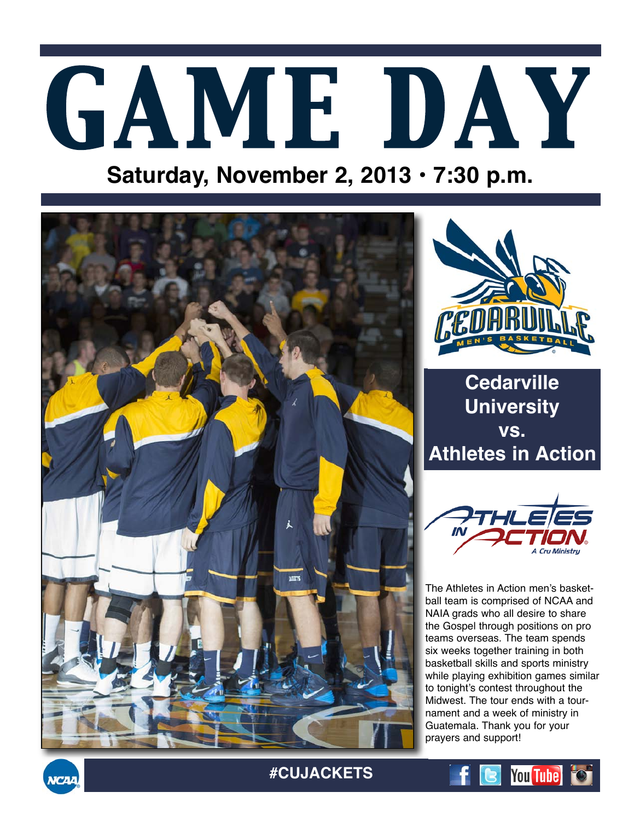# *GAME DAY*

# **Saturday, November 2, 2013 • 7:30 p.m.**





**Cedarville University vs. Athletes in Action**



The Athletes in Action men's basketball team is comprised of NCAA and NAIA grads who all desire to share the Gospel through positions on pro teams overseas. The team spends six weeks together training in both basketball skills and sports ministry while playing exhibition games similar to tonight's contest throughout the Midwest. The tour ends with a tournament and a week of ministry in Guatemala. Thank you for your prayers and support!